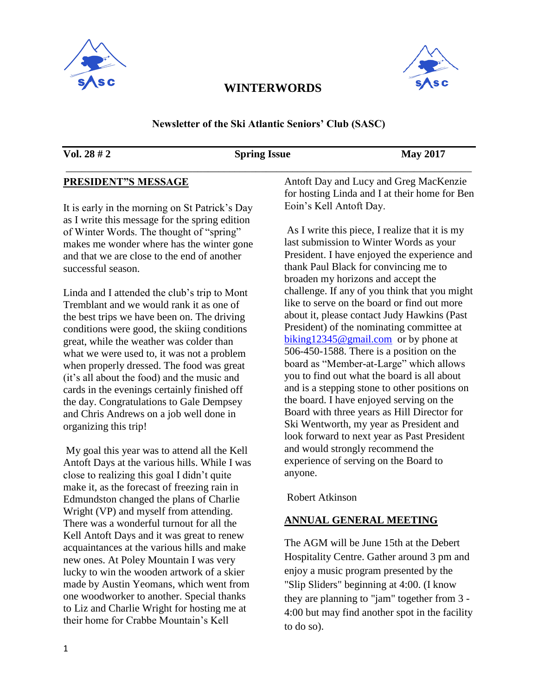



#### **Newsletter of the Ski Atlantic Seniors' Club (SASC)**

\_\_\_\_\_\_\_\_\_\_\_\_\_\_\_\_\_\_\_\_\_\_\_\_\_\_\_\_\_\_\_\_\_\_\_\_\_\_\_\_\_\_\_\_\_\_\_\_\_\_\_\_\_\_\_\_\_\_\_\_\_\_\_\_\_\_\_\_\_\_\_\_\_\_\_\_\_

#### **Vol. 28 # 2 Spring Issue May 2017**

### **PRESIDENT"S MESSAGE**

It is early in the morning on St Patrick's Day as I write this message for the spring edition of Winter Words. The thought of "spring" makes me wonder where has the winter gone and that we are close to the end of another successful season.

Linda and I attended the club's trip to Mont Tremblant and we would rank it as one of the best trips we have been on. The driving conditions were good, the skiing conditions great, while the weather was colder than what we were used to, it was not a problem when properly dressed. The food was great (it's all about the food) and the music and cards in the evenings certainly finished off the day. Congratulations to Gale Dempsey and Chris Andrews on a job well done in organizing this trip!

My goal this year was to attend all the Kell Antoft Days at the various hills. While I was close to realizing this goal I didn't quite make it, as the forecast of freezing rain in Edmundston changed the plans of Charlie Wright (VP) and myself from attending. There was a wonderful turnout for all the Kell Antoft Days and it was great to renew acquaintances at the various hills and make new ones. At Poley Mountain I was very lucky to win the wooden artwork of a skier made by Austin Yeomans, which went from one woodworker to another. Special thanks to Liz and Charlie Wright for hosting me at their home for Crabbe Mountain's Kell

Antoft Day and Lucy and Greg MacKenzie for hosting Linda and I at their home for Ben Eoin's Kell Antoft Day.

As I write this piece, I realize that it is my last submission to Winter Words as your President. I have enjoyed the experience and thank Paul Black for convincing me to broaden my horizons and accept the challenge. If any of you think that you might like to serve on the board or find out more about it, please contact Judy Hawkins (Past President) of the nominating committee at [biking12345@gmail.com](mailto:biking12345@gmail.com) or by phone at 506-450-1588. There is a position on the board as "Member-at-Large" which allows you to find out what the board is all about and is a stepping stone to other positions on the board. I have enjoyed serving on the Board with three years as Hill Director for Ski Wentworth, my year as President and look forward to next year as Past President and would strongly recommend the experience of serving on the Board to anyone.

Robert Atkinson

#### **ANNUAL GENERAL MEETING**

The AGM will be June 15th at the Debert Hospitality Centre. Gather around 3 pm and enjoy a music program presented by the "Slip Sliders" beginning at 4:00. (I know they are planning to "jam" together from 3 - 4:00 but may find another spot in the facility to do so).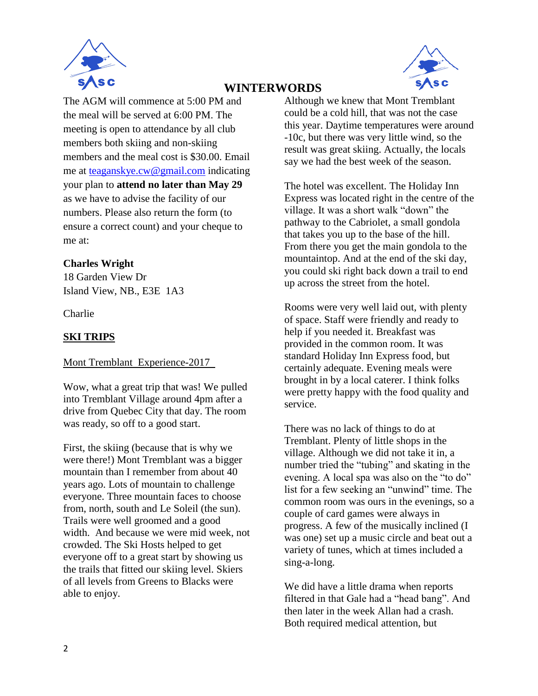



The AGM will commence at 5:00 PM and the meal will be served at 6:00 PM. The meeting is open to attendance by all club members both skiing and non-skiing members and the meal cost is \$30.00. Email me at [teaganskye.cw@gmail.com](mailto:teaganskye.cw@gmail.com) indicating your plan to **attend no later than May 29** as we have to advise the facility of our numbers. Please also return the form (to ensure a correct count) and your cheque to me at:

### **Charles Wright**

18 Garden View Dr Island View, NB., E3E 1A3

Charlie

# **SKI TRIPS**

#### Mont Tremblant Experience-2017

Wow, what a great trip that was! We pulled into Tremblant Village around 4pm after a drive from Quebec City that day. The room was ready, so off to a good start.

First, the skiing (because that is why we were there!) Mont Tremblant was a bigger mountain than I remember from about 40 years ago. Lots of mountain to challenge everyone. Three mountain faces to choose from, north, south and Le Soleil (the sun). Trails were well groomed and a good width. And because we were mid week, not crowded. The Ski Hosts helped to get everyone off to a great start by showing us the trails that fitted our skiing level. Skiers of all levels from Greens to Blacks were able to enjoy.

Although we knew that Mont Tremblant could be a cold hill, that was not the case this year. Daytime temperatures were around -10c, but there was very little wind, so the result was great skiing. Actually, the locals say we had the best week of the season.

The hotel was excellent. The Holiday Inn Express was located right in the centre of the village. It was a short walk "down" the pathway to the Cabriolet, a small gondola that takes you up to the base of the hill. From there you get the main gondola to the mountaintop. And at the end of the ski day, you could ski right back down a trail to end up across the street from the hotel.

Rooms were very well laid out, with plenty of space. Staff were friendly and ready to help if you needed it. Breakfast was provided in the common room. It was standard Holiday Inn Express food, but certainly adequate. Evening meals were brought in by a local caterer. I think folks were pretty happy with the food quality and service.

There was no lack of things to do at Tremblant. Plenty of little shops in the village. Although we did not take it in, a number tried the "tubing" and skating in the evening. A local spa was also on the "to do" list for a few seeking an "unwind" time. The common room was ours in the evenings, so a couple of card games were always in progress. A few of the musically inclined (I was one) set up a music circle and beat out a variety of tunes, which at times included a sing-a-long.

We did have a little drama when reports filtered in that Gale had a "head bang". And then later in the week Allan had a crash. Both required medical attention, but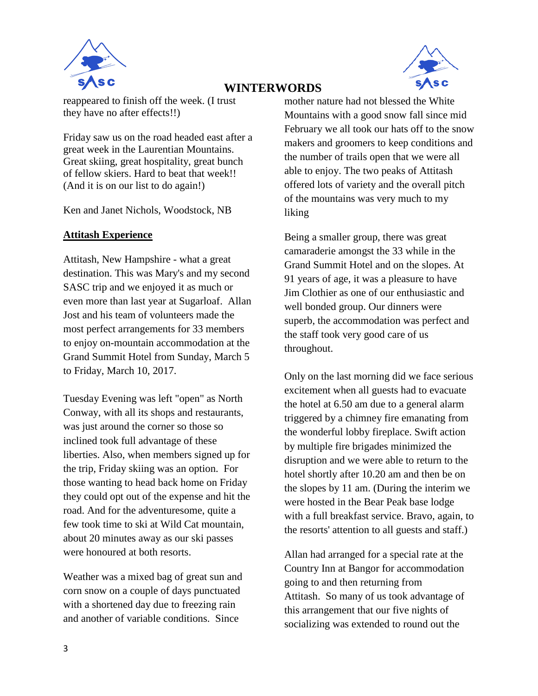



reappeared to finish off the week. (I trust they have no after effects!!)

Friday saw us on the road headed east after a great week in the Laurentian Mountains. Great skiing, great hospitality, great bunch of fellow skiers. Hard to beat that week!! (And it is on our list to do again!)

Ken and Janet Nichols, Woodstock, NB

### **Attitash Experience**

Attitash, New Hampshire - what a great destination. This was Mary's and my second SASC trip and we enjoyed it as much or even more than last year at Sugarloaf. Allan Jost and his team of volunteers made the most perfect arrangements for 33 members to enjoy on-mountain accommodation at the Grand Summit Hotel from Sunday, March 5 to Friday, March 10, 2017.

Tuesday Evening was left "open" as North Conway, with all its shops and restaurants, was just around the corner so those so inclined took full advantage of these liberties. Also, when members signed up for the trip, Friday skiing was an option. For those wanting to head back home on Friday they could opt out of the expense and hit the road. And for the adventuresome, quite a few took time to ski at Wild Cat mountain, about 20 minutes away as our ski passes were honoured at both resorts.

Weather was a mixed bag of great sun and corn snow on a couple of days punctuated with a shortened day due to freezing rain and another of variable conditions. Since

mother nature had not blessed the White Mountains with a good snow fall since mid February we all took our hats off to the snow makers and groomers to keep conditions and the number of trails open that we were all able to enjoy. The two peaks of Attitash offered lots of variety and the overall pitch of the mountains was very much to my liking

Being a smaller group, there was great camaraderie amongst the 33 while in the Grand Summit Hotel and on the slopes. At 91 years of age, it was a pleasure to have Jim Clothier as one of our enthusiastic and well bonded group. Our dinners were superb, the accommodation was perfect and the staff took very good care of us throughout.

Only on the last morning did we face serious excitement when all guests had to evacuate the hotel at 6.50 am due to a general alarm triggered by a chimney fire emanating from the wonderful lobby fireplace. Swift action by multiple fire brigades minimized the disruption and we were able to return to the hotel shortly after 10.20 am and then be on the slopes by 11 am. (During the interim we were hosted in the Bear Peak base lodge with a full breakfast service. Bravo, again, to the resorts' attention to all guests and staff.)

Allan had arranged for a special rate at the Country Inn at Bangor for accommodation going to and then returning from Attitash. So many of us took advantage of this arrangement that our five nights of socializing was extended to round out the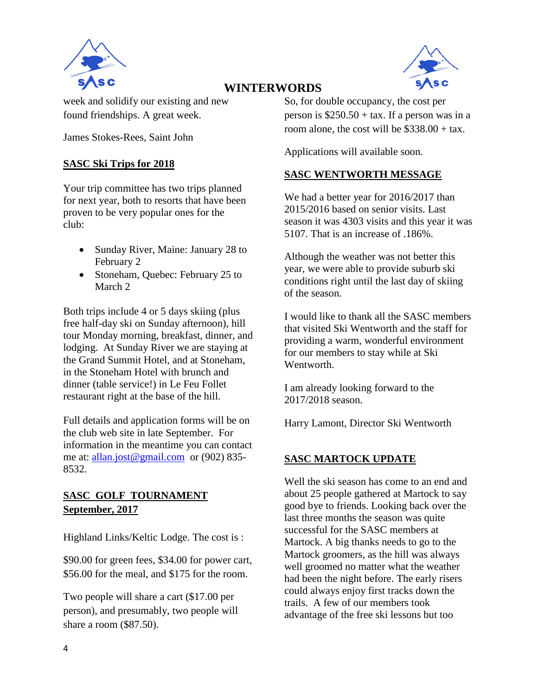



week and solidify our existing and new found friendships. A great week.

James Stokes-Rees, Saint John

### **SASC Ski Trips for 2018**

Your trip committee has two trips planned for next year, both to resorts that have been proven to be very popular ones for the club:

- Sunday River, Maine: January 28 to February 2
- Stoneham, Quebec: February 25 to March 2

Both trips include 4 or 5 days skiing (plus free half-day ski on Sunday afternoon), hill tour Monday morning, breakfast, dinner, and lodging. At Sunday River we are staying at the Grand Summit Hotel, and at Stoneham, in the Stoneham Hotel with brunch and dinner (table service!) in Le Feu Follet restaurant right at the base of the hill.

Full details and application forms will be on the club web site in late September. For information in the meantime you can contact me at: [allan.jost@gmail.com](mailto:allan.jost@gmail.com) or (902) 835- 8532.

### **SASC GOLF TOURNAMENT September, 2017**

Highland Links/Keltic Lodge. The cost is :

\$90.00 for green fees, \$34.00 for power cart, \$56.00 for the meal, and \$175 for the room.

Two people will share a cart (\$17.00 per person), and presumably, two people will share a room (\$87.50).

So, for double occupancy, the cost per person is  $$250.50 + tax$ . If a person was in a room alone, the cost will be  $$338.00 + tax$ .

Applications will available soon.

# **SASC WENTWORTH MESSAGE**

We had a better year for 2016/2017 than 2015/2016 based on senior visits. Last season it was 4303 visits and this year it was 5107. That is an increase of .186%.

Although the weather was not better this year, we were able to provide suburb ski conditions right until the last day of skiing of the season.

I would like to thank all the SASC members that visited Ski Wentworth and the staff for providing a warm, wonderful environment for our members to stay while at Ski Wentworth.

I am already looking forward to the 2017/2018 season.

Harry Lamont, Director Ski Wentworth

### **SASC MARTOCK UPDATE**

Well the ski season has come to an end and about 25 people gathered at Martock to say good bye to friends. Looking back over the last three months the season was quite successful for the SASC members at Martock. A big thanks needs to go to the Martock groomers, as the hill was always well groomed no matter what the weather had been the night before. The early risers could always enjoy first tracks down the trails. A few of our members took advantage of the free ski lessons but too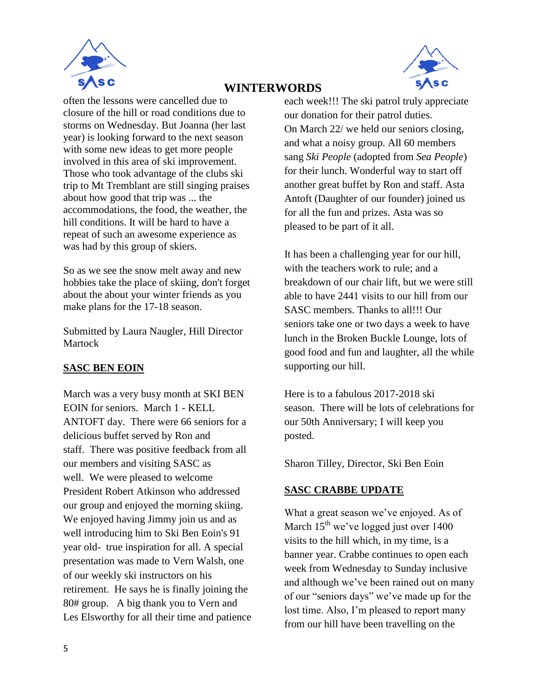



often the lessons were cancelled due to closure of the hill or road conditions due to storms on Wednesday. But Joanna (her last year) is looking forward to the next season with some new ideas to get more people involved in this area of ski improvement. Those who took advantage of the clubs ski trip to Mt Tremblant are still singing praises about how good that trip was ... the accommodations, the food, the weather, the hill conditions. It will be hard to have a repeat of such an awesome experience as was had by this group of skiers.

So as we see the snow melt away and new hobbies take the place of skiing, don't forget about the about your winter friends as you make plans for the 17-18 season.

Submitted by Laura Naugler, Hill Director Martock

# **SASC BEN EOIN**

March was a very busy month at SKI BEN EOIN for seniors. March 1 - KELL ANTOFT day. There were 66 seniors for a delicious buffet served by Ron and staff. There was positive feedback from all our members and visiting SASC as well. We were pleased to welcome President Robert Atkinson who addressed our group and enjoyed the morning skiing. We enjoyed having Jimmy join us and as well introducing him to Ski Ben Eoin's 91 year old- true inspiration for all. A special presentation was made to Vern Walsh, one of our weekly ski instructors on his retirement. He says he is finally joining the 80# group. A big thank you to Vern and Les Elsworthy for all their time and patience

each week!!! The ski patrol truly appreciate our donation for their patrol duties. On March 22/ we held our seniors closing, and what a noisy group. All 60 members sang *Ski People* (adopted from *Sea People*) for their lunch. Wonderful way to start off another great buffet by Ron and staff. Asta Antoft (Daughter of our founder) joined us for all the fun and prizes. Asta was so pleased to be part of it all.

It has been a challenging year for our hill, with the teachers work to rule; and a breakdown of our chair lift, but we were still able to have 2441 visits to our hill from our SASC members. Thanks to all!!! Our seniors take one or two days a week to have lunch in the Broken Buckle Lounge, lots of good food and fun and laughter, all the while supporting our hill.

Here is to a fabulous 2017-2018 ski season. There will be lots of celebrations for our 50th Anniversary; I will keep you posted.

Sharon Tilley, Director, Ski Ben Eoin

### **SASC CRABBE UPDATE**

What a great season we've enjoyed. As of March  $15^{th}$  we've logged just over 1400 visits to the hill which, in my time, is a banner year. Crabbe continues to open each week from Wednesday to Sunday inclusive and although we've been rained out on many of our "seniors days" we've made up for the lost time. Also, I'm pleased to report many from our hill have been travelling on the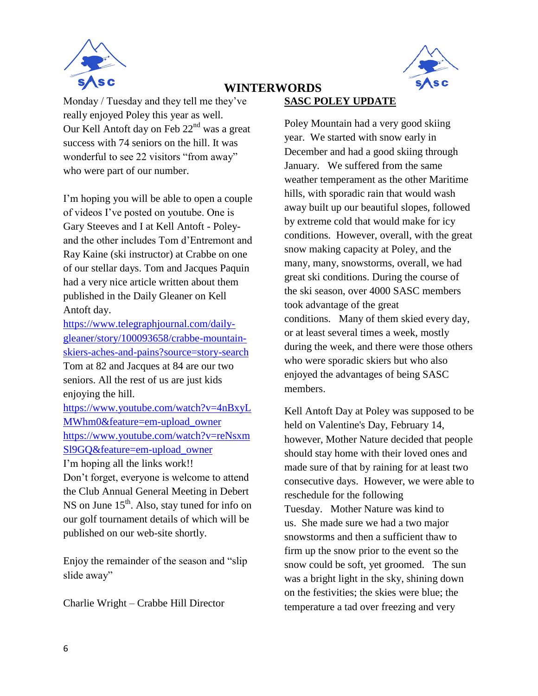



Monday / Tuesday and they tell me they've really enjoyed Poley this year as well. Our Kell Antoft day on Feb 22nd was a great success with 74 seniors on the hill. It was wonderful to see 22 visitors "from away" who were part of our number.

I'm hoping you will be able to open a couple of videos I've posted on youtube. One is Gary Steeves and I at Kell Antoft - Poleyand the other includes Tom d'Entremont and Ray Kaine (ski instructor) at Crabbe on one of our stellar days. Tom and Jacques Paquin had a very nice article written about them published in the Daily Gleaner on Kell Antoft day.

[https://www.telegraphjournal.com/daily](https://www.telegraphjournal.com/daily-gleaner/story/100093658/crabbe-mountain-skiers-aches-and-pains?source=story-search)[gleaner/story/100093658/crabbe-mountain](https://www.telegraphjournal.com/daily-gleaner/story/100093658/crabbe-mountain-skiers-aches-and-pains?source=story-search)[skiers-aches-and-pains?source=story-search](https://www.telegraphjournal.com/daily-gleaner/story/100093658/crabbe-mountain-skiers-aches-and-pains?source=story-search) Tom at 82 and Jacques at 84 are our two seniors. All the rest of us are just kids enjoying the hill.

[https://www.youtube.com/watch?v=4nBxyL](https://www.youtube.com/watch?v=4nBxyLMWhm0&feature=em-upload_owner) [MWhm0&feature=em-upload\\_owner](https://www.youtube.com/watch?v=4nBxyLMWhm0&feature=em-upload_owner) [https://www.youtube.com/watch?v=reNsxm](https://www.youtube.com/watch?v=reNsxmSl9GQ&feature=em-upload_owner) [Sl9GQ&feature=em-upload\\_owner](https://www.youtube.com/watch?v=reNsxmSl9GQ&feature=em-upload_owner)

I'm hoping all the links work!!

Don't forget, everyone is welcome to attend the Club Annual General Meeting in Debert NS on June  $15<sup>th</sup>$ . Also, stay tuned for info on our golf tournament details of which will be published on our web-site shortly.

Enjoy the remainder of the season and "slip slide away"

Charlie Wright – Crabbe Hill Director

### **SASC POLEY UPDATE**

Poley Mountain had a very good skiing year. We started with snow early in December and had a good skiing through January. We suffered from the same weather temperament as the other Maritime hills, with sporadic rain that would wash away built up our beautiful slopes, followed by extreme cold that would make for icy conditions. However, overall, with the great snow making capacity at Poley, and the many, many, snowstorms, overall, we had great ski conditions. During the course of the ski season, over 4000 SASC members took advantage of the great conditions. Many of them skied every day, or at least several times a week, mostly during the week, and there were those others who were sporadic skiers but who also enjoyed the advantages of being SASC members.

Kell Antoft Day at Poley was supposed to be held on Valentine's Day, February 14, however, Mother Nature decided that people should stay home with their loved ones and made sure of that by raining for at least two consecutive days. However, we were able to reschedule for the following Tuesday. Mother Nature was kind to us. She made sure we had a two major snowstorms and then a sufficient thaw to firm up the snow prior to the event so the snow could be soft, yet groomed. The sun was a bright light in the sky, shining down on the festivities; the skies were blue; the temperature a tad over freezing and very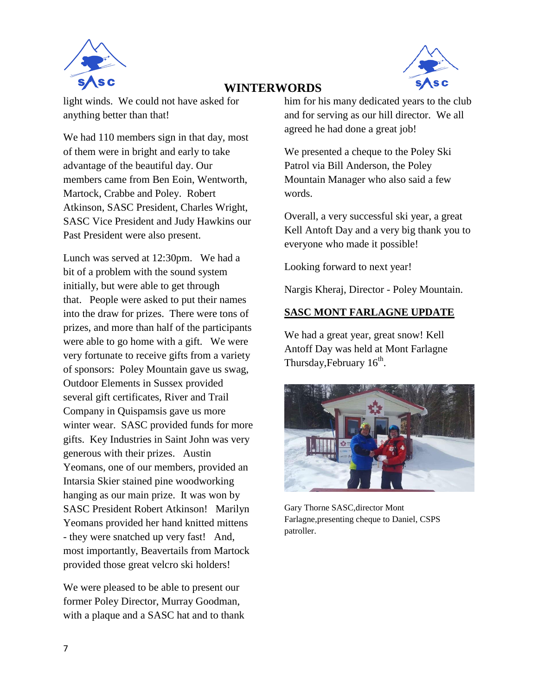



light winds. We could not have asked for anything better than that!

We had 110 members sign in that day, most of them were in bright and early to take advantage of the beautiful day. Our members came from Ben Eoin, Wentworth, Martock, Crabbe and Poley. Robert Atkinson, SASC President, Charles Wright, SASC Vice President and Judy Hawkins our Past President were also present.

Lunch was served at 12:30pm. We had a bit of a problem with the sound system initially, but were able to get through that. People were asked to put their names into the draw for prizes. There were tons of prizes, and more than half of the participants were able to go home with a gift. We were very fortunate to receive gifts from a variety of sponsors: Poley Mountain gave us swag, Outdoor Elements in Sussex provided several gift certificates, River and Trail Company in Quispamsis gave us more winter wear. SASC provided funds for more gifts. Key Industries in Saint John was very generous with their prizes. Austin Yeomans, one of our members, provided an Intarsia Skier stained pine woodworking hanging as our main prize. It was won by SASC President Robert Atkinson! Marilyn Yeomans provided her hand knitted mittens - they were snatched up very fast! And, most importantly, Beavertails from Martock provided those great velcro ski holders!

We were pleased to be able to present our former Poley Director, Murray Goodman, with a plaque and a SASC hat and to thank him for his many dedicated years to the club and for serving as our hill director. We all agreed he had done a great job!

We presented a cheque to the Poley Ski Patrol via Bill Anderson, the Poley Mountain Manager who also said a few words.

Overall, a very successful ski year, a great Kell Antoft Day and a very big thank you to everyone who made it possible!

Looking forward to next year!

Nargis Kheraj, Director - Poley Mountain.

# **SASC MONT FARLAGNE UPDATE**

We had a great year, great snow! Kell Antoff Day was held at Mont Farlagne Thursday, February  $16^{\text{th}}$ .



Gary Thorne SASC,director Mont Farlagne,presenting cheque to Daniel, CSPS patroller.